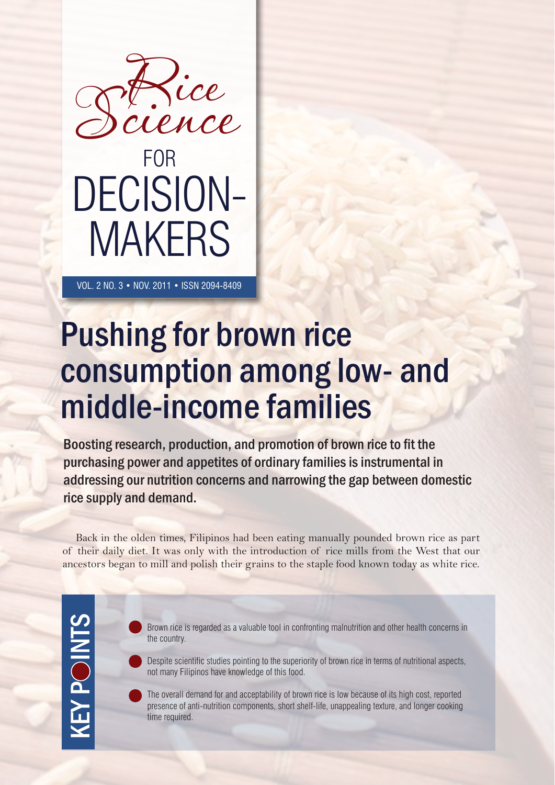

VOL. 2 NO. 3 • NOV. 2011 • ISSN 2094-8409

# Pushing for brown rice consumption among low- and middle-income families

Boosting research, production, and promotion of brown rice to fit the purchasing power and appetites of ordinary families is instrumental in addressing our nutrition concerns and narrowing the gap between domestic rice supply and demand.

Back in the olden times, Filipinos had been eating manually pounded brown rice as part of their daily diet. It was only with the introduction of rice mills from the West that our ancestors began to mill and polish their grains to the staple food known today as white rice.

**KEY POINTS** KEY POINTS

Brown rice is regarded as a valuable tool in confronting malnutrition and other health concerns in the country.

Despite scientific studies pointing to the superiority of brown rice in terms of nutritional aspects, not many Filipinos have knowledge of this food.

The overall demand for and acceptability of brown rice is low because of its high cost, reported presence of anti-nutrition components, short shelf-life, unappealing texture, and longer cooking time required.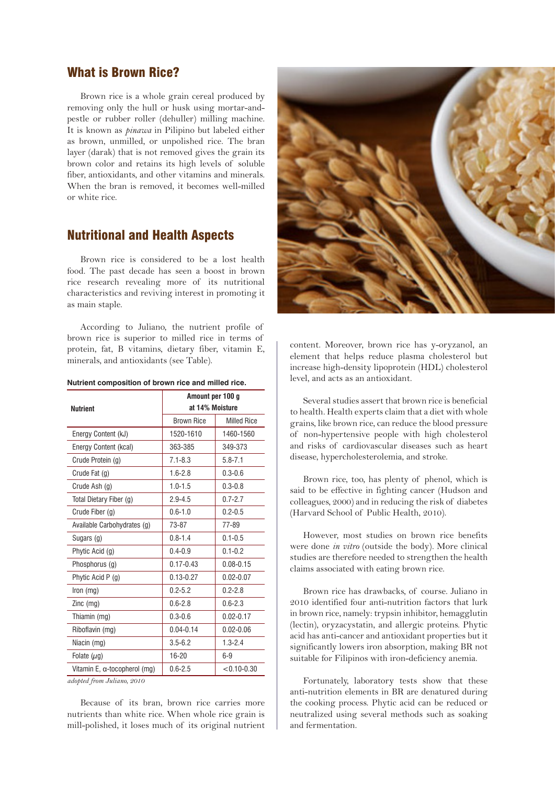#### What is Brown Rice?

Brown rice is a whole grain cereal produced by removing only the hull or husk using mortar-andpestle or rubber roller (dehuller) milling machine. It is known as *pinawa* in Pilipino but labeled either as brown, unmilled, or unpolished rice. The bran layer (darak) that is not removed gives the grain its brown color and retains its high levels of soluble fiber, antioxidants, and other vitamins and minerals. When the bran is removed, it becomes well-milled or white rice.

#### Nutritional and Health Aspects

Brown rice is considered to be a lost health food. The past decade has seen a boost in brown rice research revealing more of its nutritional characteristics and reviving interest in promoting it as main staple.

According to Juliano, the nutrient profile of brown rice is superior to milled rice in terms of protein, fat, B vitamins, dietary fiber, vitamin E, minerals, and antioxidants (see Table).

| Nutrient composition of brown rice and milled rice. |  |  |  |  |
|-----------------------------------------------------|--|--|--|--|
|                                                     |  |  |  |  |

| <b>Nutrient</b>                      | Amount per 100 g<br>at 14% Moisture |                    |  |  |  |
|--------------------------------------|-------------------------------------|--------------------|--|--|--|
|                                      | <b>Brown Rice</b>                   | <b>Milled Rice</b> |  |  |  |
| Energy Content (kJ)                  | 1520-1610                           | 1460-1560          |  |  |  |
| Energy Content (kcal)                | 363-385                             | 349-373            |  |  |  |
| Crude Protein (g)                    | $7.1 - 8.3$                         | $5.8 - 7.1$        |  |  |  |
| Crude Fat (g)                        | $1.6 - 2.8$                         | $0.3 - 0.6$        |  |  |  |
| Crude Ash (g)                        | $1.0 - 1.5$                         | $0.3 - 0.8$        |  |  |  |
| Total Dietary Fiber (g)              | $2.9 - 4.5$                         | $0.7 - 2.7$        |  |  |  |
| Crude Fiber (g)                      | $0.6 - 1.0$                         | $0.2 - 0.5$        |  |  |  |
| Available Carbohydrates (g)          | 73-87                               | 77-89              |  |  |  |
| Sugars (g)                           | $0.8 - 1.4$                         | $0.1 - 0.5$        |  |  |  |
| Phytic Acid (g)                      | $0.4 - 0.9$                         | $0.1 - 0.2$        |  |  |  |
| Phosphorus (g)                       | $0.17 - 0.43$                       | $0.08 - 0.15$      |  |  |  |
| Phytic Acid P (g)                    | $0.13 - 0.27$                       | $0.02 - 0.07$      |  |  |  |
| Iron $(mg)$                          | $0.2 - 5.2$                         | $0.2 - 2.8$        |  |  |  |
| Zinc $(mg)$                          | $0.6 - 2.8$                         | $0.6 - 2.3$        |  |  |  |
| Thiamin (mg)                         | $0.3 - 0.6$                         | $0.02 - 0.17$      |  |  |  |
| Riboflavin (mg)                      | $0.04 - 0.14$                       | $0.02 - 0.06$      |  |  |  |
| Niacin (mg)                          | $3.5 - 6.2$                         | $1.3 - 2.4$        |  |  |  |
| Folate $(\mu q)$                     | 16-20                               | $6-9$              |  |  |  |
| Vitamin E, $\alpha$ -tocopherol (mg) | $0.6 - 2.5$                         | $< 0.10 - 0.30$    |  |  |  |

*adopted from Juliano, 2010*

Because of its bran, brown rice carries more nutrients than white rice. When whole rice grain is mill-polished, it loses much of its original nutrient



content. Moreover, brown rice has y-oryzanol, an element that helps reduce plasma cholesterol but increase high-density lipoprotein (HDL) cholesterol level, and acts as an antioxidant.

Several studies assert that brown rice is beneficial to health. Health experts claim that a diet with whole grains, like brown rice, can reduce the blood pressure of non-hypertensive people with high cholesterol and risks of cardiovascular diseases such as heart disease, hypercholesterolemia, and stroke.

Brown rice, too, has plenty of phenol, which is said to be effective in fighting cancer (Hudson and colleagues, 2000) and in reducing the risk of diabetes (Harvard School of Public Health, 2010).

However, most studies on brown rice benefits were done *in vitro* (outside the body)*.* More clinical studies are therefore needed to strengthen the health claims associated with eating brown rice.

Brown rice has drawbacks, of course. Juliano in 2010 identified four anti-nutrition factors that lurk in brown rice, namely: trypsin inhibitor, hemagglutin (lectin), oryzacystatin, and allergic proteins. Phytic acid has anti-cancer and antioxidant properties but it significantly lowers iron absorption, making BR not suitable for Filipinos with iron-deficiency anemia.

Fortunately, laboratory tests show that these anti-nutrition elements in BR are denatured during the cooking process. Phytic acid can be reduced or neutralized using several methods such as soaking and fermentation.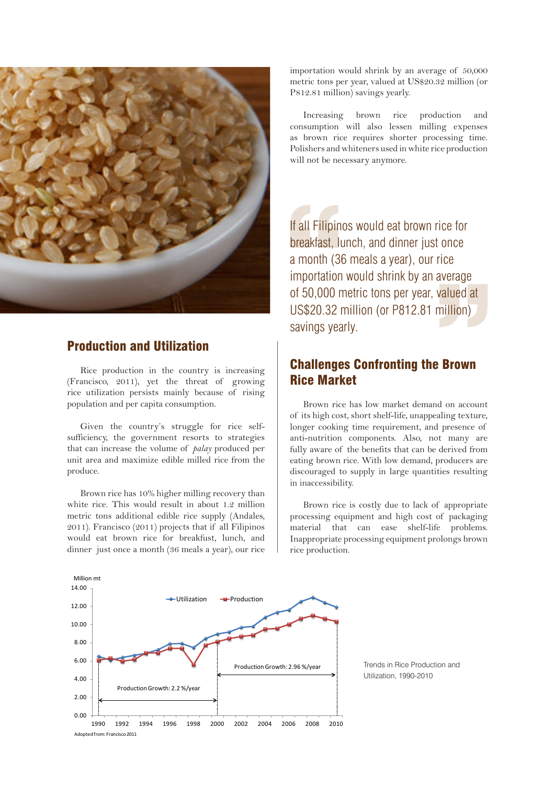

#### Production and Utilization

Rice production in the country is increasing (Francisco, 2011), yet the threat of growing rice utilization persists mainly because of rising population and per capita consumption.

Given the country's struggle for rice selfsufficiency, the government resorts to strategies that can increase the volume of *palay* produced per unit area and maximize edible milled rice from the produce.

Brown rice has 10% higher milling recovery than white rice. This would result in about 1.2 million metric tons additional edible rice supply (Andales, 2011). Francisco (2011) projects that if all Filipinos would eat brown rice for breakfust, lunch, and dinner just once a month (36 meals a year), our rice importation would shrink by an average of 50,000 metric tons per year, valued at US\$20.32 million (or P812.81 million) savings yearly.

Increasing brown rice production and consumption will also lessen milling expenses as brown rice requires shorter processing time. Polishers and whiteners used in white rice production will not be necessary anymore.

If all Filipinos would eat brown rice for breakfast, lunch, and dinner just once a month (36 meals a year), our rice importation would shrink by an average of 50,000 metric tons per year, valued at US\$20.32 million (or P812.81 million) savings yearly.

### Challenges Confronting the Brown Rice Market

Brown rice has low market demand on account of its high cost, short shelf-life, unappealing texture, longer cooking time requirement, and presence of anti-nutrition components. Also, not many are fully aware of the benefits that can be derived from eating brown rice. With low demand, producers are discouraged to supply in large quantities resulting in inaccessibility.

Brown rice is costly due to lack of appropriate processing equipment and high cost of packaging material that can ease shelf-life problems. Inappropriate processing equipment prolongs brown rice production.